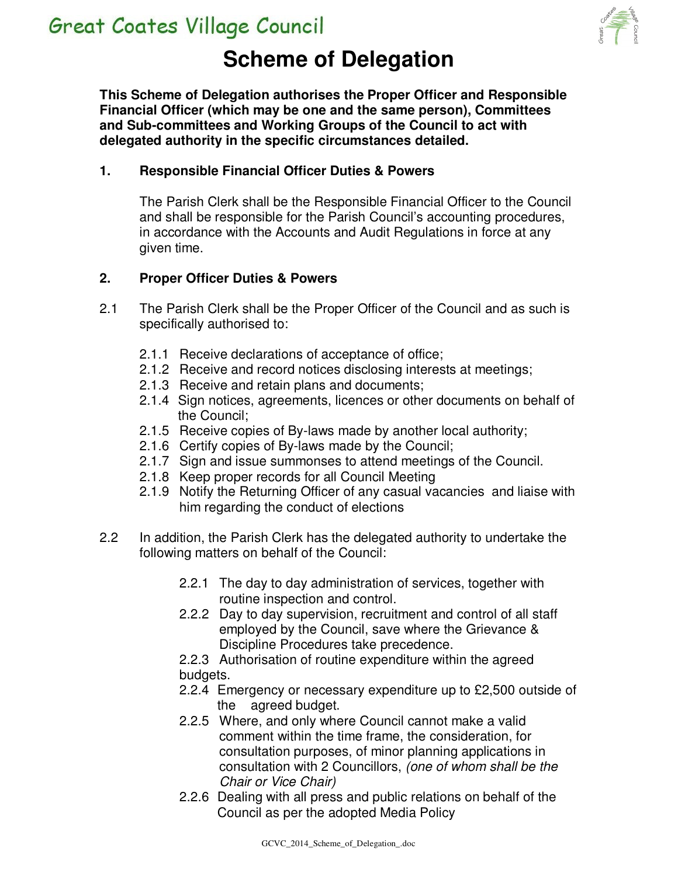

# **Scheme of Delegation**

**This Scheme of Delegation authorises the Proper Officer and Responsible Financial Officer (which may be one and the same person), Committees and Sub-committees and Working Groups of the Council to act with delegated authority in the specific circumstances detailed.** 

#### **1. Responsible Financial Officer Duties & Powers**

The Parish Clerk shall be the Responsible Financial Officer to the Council and shall be responsible for the Parish Council's accounting procedures, in accordance with the Accounts and Audit Regulations in force at any given time.

#### **2. Proper Officer Duties & Powers**

- 2.1 The Parish Clerk shall be the Proper Officer of the Council and as such is specifically authorised to:
	- 2.1.1 Receive declarations of acceptance of office;
	- 2.1.2 Receive and record notices disclosing interests at meetings;
	- 2.1.3 Receive and retain plans and documents;
	- 2.1.4 Sign notices, agreements, licences or other documents on behalf of the Council;
	- 2.1.5 Receive copies of By-laws made by another local authority;
	- 2.1.6 Certify copies of By-laws made by the Council;
	- 2.1.7 Sign and issue summonses to attend meetings of the Council.
	- 2.1.8 Keep proper records for all Council Meeting
	- 2.1.9 Notify the Returning Officer of any casual vacancies and liaise with him regarding the conduct of elections
- 2.2 In addition, the Parish Clerk has the delegated authority to undertake the following matters on behalf of the Council:
	- 2.2.1 The day to day administration of services, together with routine inspection and control.
	- 2.2.2 Day to day supervision, recruitment and control of all staff employed by the Council, save where the Grievance & Discipline Procedures take precedence.
	- 2.2.3 Authorisation of routine expenditure within the agreed budgets.
	- 2.2.4 Emergency or necessary expenditure up to £2,500 outside of the agreed budget.
	- 2.2.5 Where, and only where Council cannot make a valid comment within the time frame, the consideration, for consultation purposes, of minor planning applications in consultation with 2 Councillors, (one of whom shall be the Chair or Vice Chair)
	- 2.2.6 Dealing with all press and public relations on behalf of the Council as per the adopted Media Policy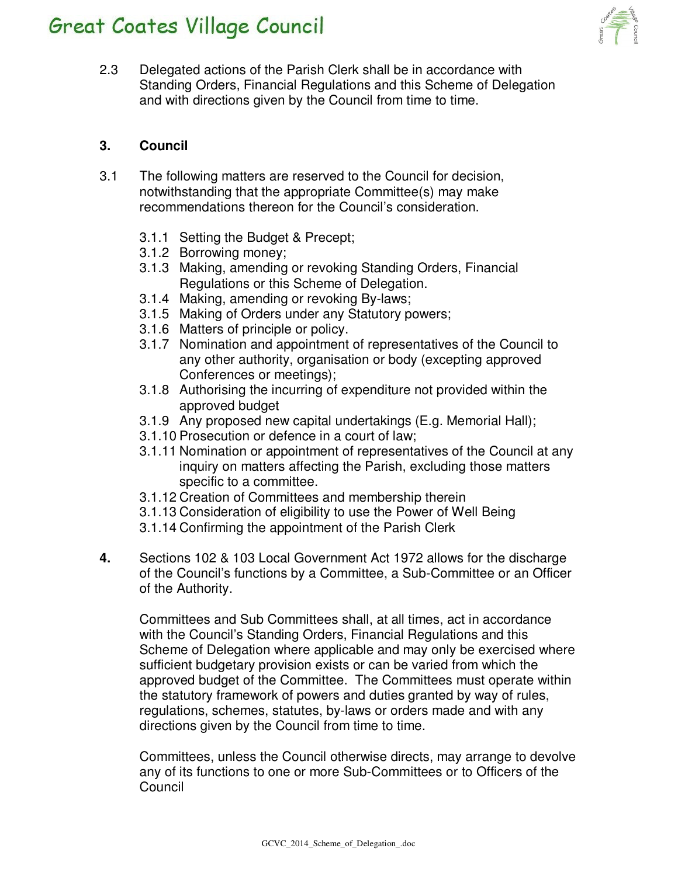

2.3 Delegated actions of the Parish Clerk shall be in accordance with Standing Orders, Financial Regulations and this Scheme of Delegation and with directions given by the Council from time to time.

### **3. Council**

- 3.1 The following matters are reserved to the Council for decision, notwithstanding that the appropriate Committee(s) may make recommendations thereon for the Council's consideration.
	- 3.1.1 Setting the Budget & Precept;
	- 3.1.2 Borrowing money;
	- 3.1.3 Making, amending or revoking Standing Orders, Financial Regulations or this Scheme of Delegation.
	- 3.1.4 Making, amending or revoking By-laws;
	- 3.1.5 Making of Orders under any Statutory powers;
	- 3.1.6 Matters of principle or policy.
	- 3.1.7 Nomination and appointment of representatives of the Council to any other authority, organisation or body (excepting approved Conferences or meetings);
	- 3.1.8 Authorising the incurring of expenditure not provided within the approved budget
	- 3.1.9 Any proposed new capital undertakings (E.g. Memorial Hall);
	- 3.1.10 Prosecution or defence in a court of law;
	- 3.1.11 Nomination or appointment of representatives of the Council at any inquiry on matters affecting the Parish, excluding those matters specific to a committee.
	- 3.1.12 Creation of Committees and membership therein
	- 3.1.13 Consideration of eligibility to use the Power of Well Being
	- 3.1.14 Confirming the appointment of the Parish Clerk
- **4.** Sections 102 & 103 Local Government Act 1972 allows for the discharge of the Council's functions by a Committee, a Sub-Committee or an Officer of the Authority.

 Committees and Sub Committees shall, at all times, act in accordance with the Council's Standing Orders, Financial Regulations and this Scheme of Delegation where applicable and may only be exercised where sufficient budgetary provision exists or can be varied from which the approved budget of the Committee. The Committees must operate within the statutory framework of powers and duties granted by way of rules, regulations, schemes, statutes, by-laws or orders made and with any directions given by the Council from time to time.

Committees, unless the Council otherwise directs, may arrange to devolve any of its functions to one or more Sub-Committees or to Officers of the Council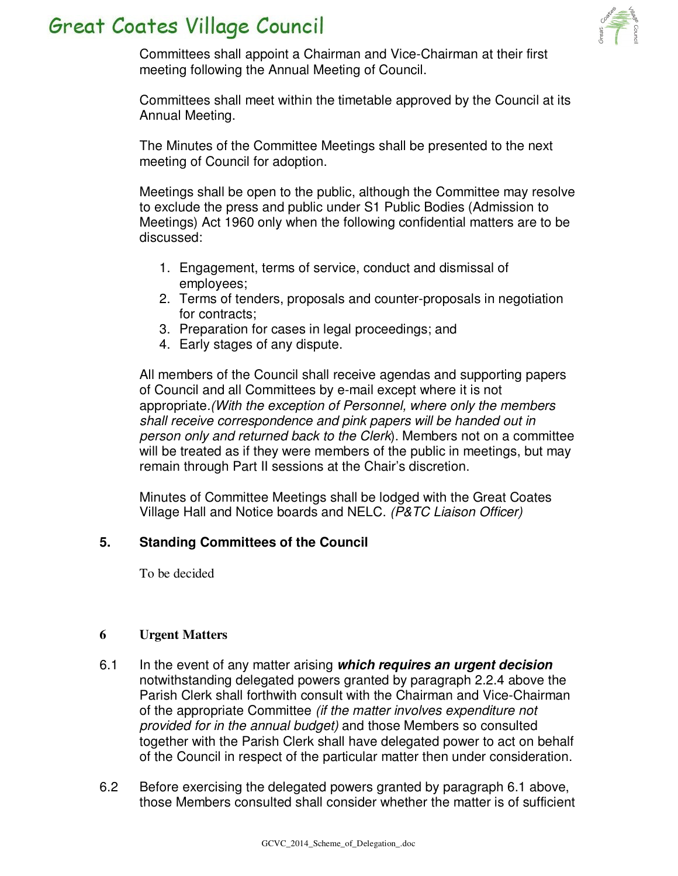

Committees shall appoint a Chairman and Vice-Chairman at their first meeting following the Annual Meeting of Council.

Committees shall meet within the timetable approved by the Council at its Annual Meeting.

The Minutes of the Committee Meetings shall be presented to the next meeting of Council for adoption.

Meetings shall be open to the public, although the Committee may resolve to exclude the press and public under S1 Public Bodies (Admission to Meetings) Act 1960 only when the following confidential matters are to be discussed:

- 1. Engagement, terms of service, conduct and dismissal of employees;
- 2. Terms of tenders, proposals and counter-proposals in negotiation for contracts;
- 3. Preparation for cases in legal proceedings; and
- 4. Early stages of any dispute.

All members of the Council shall receive agendas and supporting papers of Council and all Committees by e-mail except where it is not appropriate.(With the exception of Personnel, where only the members shall receive correspondence and pink papers will be handed out in person only and returned back to the Clerk). Members not on a committee will be treated as if they were members of the public in meetings, but may remain through Part II sessions at the Chair's discretion.

Minutes of Committee Meetings shall be lodged with the Great Coates Village Hall and Notice boards and NELC. (P&TC Liaison Officer)

### **5. Standing Committees of the Council**

To be decided

#### **6 Urgent Matters**

- 6.1 In the event of any matter arising **which requires an urgent decision** notwithstanding delegated powers granted by paragraph 2.2.4 above the Parish Clerk shall forthwith consult with the Chairman and Vice-Chairman of the appropriate Committee (if the matter involves expenditure not provided for in the annual budget) and those Members so consulted together with the Parish Clerk shall have delegated power to act on behalf of the Council in respect of the particular matter then under consideration.
- 6.2 Before exercising the delegated powers granted by paragraph 6.1 above, those Members consulted shall consider whether the matter is of sufficient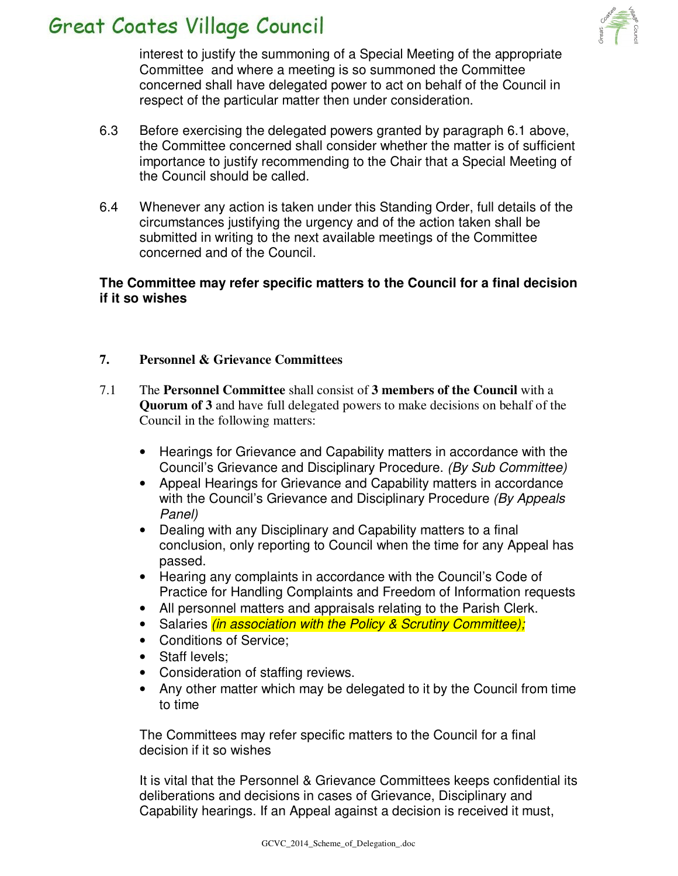

interest to justify the summoning of a Special Meeting of the appropriate Committee and where a meeting is so summoned the Committee concerned shall have delegated power to act on behalf of the Council in respect of the particular matter then under consideration.

- 6.3 Before exercising the delegated powers granted by paragraph 6.1 above, the Committee concerned shall consider whether the matter is of sufficient importance to justify recommending to the Chair that a Special Meeting of the Council should be called.
- 6.4 Whenever any action is taken under this Standing Order, full details of the circumstances justifying the urgency and of the action taken shall be submitted in writing to the next available meetings of the Committee concerned and of the Council.

#### **The Committee may refer specific matters to the Council for a final decision if it so wishes**

#### **7. Personnel & Grievance Committees**

- 7.1 The **Personnel Committee** shall consist of **3 members of the Council** with a **Quorum of 3** and have full delegated powers to make decisions on behalf of the Council in the following matters:
	- Hearings for Grievance and Capability matters in accordance with the Council's Grievance and Disciplinary Procedure. (By Sub Committee)
	- Appeal Hearings for Grievance and Capability matters in accordance with the Council's Grievance and Disciplinary Procedure (By Appeals Panel)
	- Dealing with any Disciplinary and Capability matters to a final conclusion, only reporting to Council when the time for any Appeal has passed.
	- Hearing any complaints in accordance with the Council's Code of Practice for Handling Complaints and Freedom of Information requests
	- All personnel matters and appraisals relating to the Parish Clerk.
	- Salaries *(in association with the Policy & Scrutiny Committee);*
	- Conditions of Service;
	- Staff levels:
	- Consideration of staffing reviews.
	- Any other matter which may be delegated to it by the Council from time to time

The Committees may refer specific matters to the Council for a final decision if it so wishes

It is vital that the Personnel & Grievance Committees keeps confidential its deliberations and decisions in cases of Grievance, Disciplinary and Capability hearings. If an Appeal against a decision is received it must,